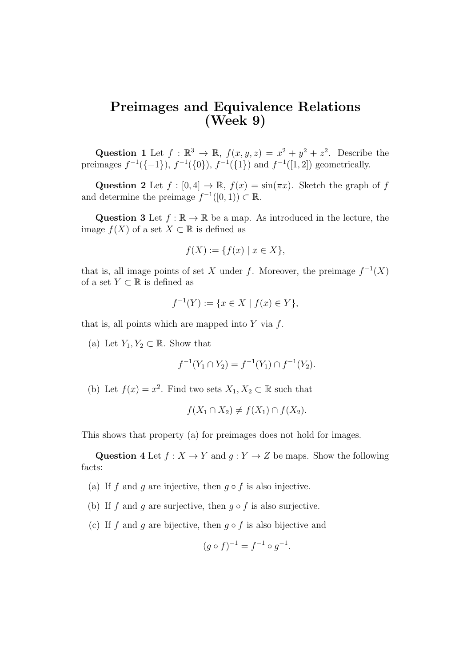## Preimages and Equivalence Relations (Week 9)

Question 1 Let  $f : \mathbb{R}^3 \to \mathbb{R}$ ,  $f(x, y, z) = x^2 + y^2 + z^2$ . Describe the preimages  $f^{-1}(\{-1\})$ ,  $f^{-1}(\{0\})$ ,  $f^{-1}(\{1\})$  and  $f^{-1}([1, 2])$  geometrically.

Question 2 Let  $f : [0, 4] \to \mathbb{R}$ ,  $f(x) = \sin(\pi x)$ . Sketch the graph of f and determine the preimage  $f^{-1}([0,1)) \subset \mathbb{R}$ .

Question 3 Let  $f : \mathbb{R} \to \mathbb{R}$  be a map. As introduced in the lecture, the image  $f(X)$  of a set  $X \subset \mathbb{R}$  is defined as

$$
f(X) := \{ f(x) \mid x \in X \},\
$$

that is, all image points of set X under f. Moreover, the preimage  $f^{-1}(X)$ of a set  $Y \subset \mathbb{R}$  is defined as

$$
f^{-1}(Y) := \{ x \in X \mid f(x) \in Y \},
$$

that is, all points which are mapped into  $Y$  via  $f$ .

(a) Let  $Y_1, Y_2 \subset \mathbb{R}$ . Show that

$$
f^{-1}(Y_1 \cap Y_2) = f^{-1}(Y_1) \cap f^{-1}(Y_2).
$$

(b) Let  $f(x) = x^2$ . Find two sets  $X_1, X_2 \subset \mathbb{R}$  such that

$$
f(X_1 \cap X_2) \neq f(X_1) \cap f(X_2).
$$

This shows that property (a) for preimages does not hold for images.

Question 4 Let  $f: X \to Y$  and  $g: Y \to Z$  be maps. Show the following facts:

- (a) If f and g are injective, then  $g \circ f$  is also injective.
- (b) If f and q are surjective, then  $q \circ f$  is also surjective.
- (c) If f and q are bijective, then  $q \circ f$  is also bijective and

$$
(g \circ f)^{-1} = f^{-1} \circ g^{-1}.
$$